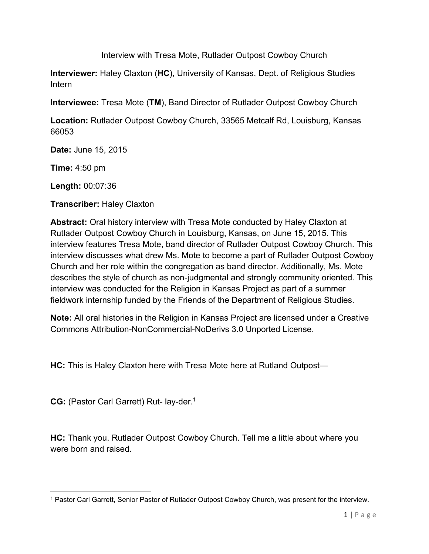Interview with Tresa Mote, Rutlader Outpost Cowboy Church

**Interviewer:** Haley Claxton (**HC**), University of Kansas, Dept. of Religious Studies Intern

**Interviewee:** Tresa Mote (**TM**), Band Director of Rutlader Outpost Cowboy Church

**Location:** Rutlader Outpost Cowboy Church, 33565 Metcalf Rd, Louisburg, Kansas 66053

**Date:** June 15, 2015

**Time:** 4:50 pm

**Length:** 00:07:36

**Transcriber:** Haley Claxton

**Abstract:** Oral history interview with Tresa Mote conducted by Haley Claxton at Rutlader Outpost Cowboy Church in Louisburg, Kansas, on June 15, 2015. This interview features Tresa Mote, band director of Rutlader Outpost Cowboy Church. This interview discusses what drew Ms. Mote to become a part of Rutlader Outpost Cowboy Church and her role within the congregation as band director. Additionally, Ms. Mote describes the style of church as non-judgmental and strongly community oriented. This interview was conducted for the Religion in Kansas Project as part of a summer fieldwork internship funded by the Friends of the Department of Religious Studies.

**Note:** All oral histories in the Religion in Kansas Project are licensed under a Creative Commons Attribution-NonCommercial-NoDerivs 3.0 Unported License.

**HC:** This is Haley Claxton here with Tresa Mote here at Rutland Outpost—

**CG:** (Pastor Carl Garrett) Rut- lay-der.<sup>1</sup>

 $\overline{\phantom{a}}$ 

**HC:** Thank you. Rutlader Outpost Cowboy Church. Tell me a little about where you were born and raised.

<sup>1</sup> Pastor Carl Garrett, Senior Pastor of Rutlader Outpost Cowboy Church, was present for the interview.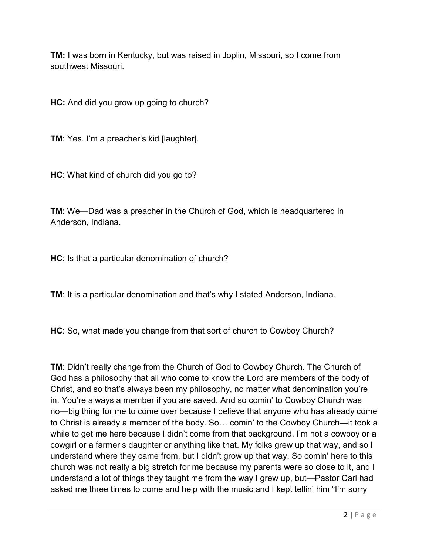**TM:** I was born in Kentucky, but was raised in Joplin, Missouri, so I come from southwest Missouri.

**HC:** And did you grow up going to church?

**TM**: Yes. I'm a preacher's kid [laughter].

**HC**: What kind of church did you go to?

**TM**: We—Dad was a preacher in the Church of God, which is headquartered in Anderson, Indiana.

**HC**: Is that a particular denomination of church?

**TM**: It is a particular denomination and that's why I stated Anderson, Indiana.

**HC**: So, what made you change from that sort of church to Cowboy Church?

**TM**: Didn't really change from the Church of God to Cowboy Church. The Church of God has a philosophy that all who come to know the Lord are members of the body of Christ, and so that's always been my philosophy, no matter what denomination you're in. You're always a member if you are saved. And so comin' to Cowboy Church was no—big thing for me to come over because I believe that anyone who has already come to Christ is already a member of the body. So… comin' to the Cowboy Church—it took a while to get me here because I didn't come from that background. I'm not a cowboy or a cowgirl or a farmer's daughter or anything like that. My folks grew up that way, and so I understand where they came from, but I didn't grow up that way. So comin' here to this church was not really a big stretch for me because my parents were so close to it, and I understand a lot of things they taught me from the way I grew up, but—Pastor Carl had asked me three times to come and help with the music and I kept tellin' him "I'm sorry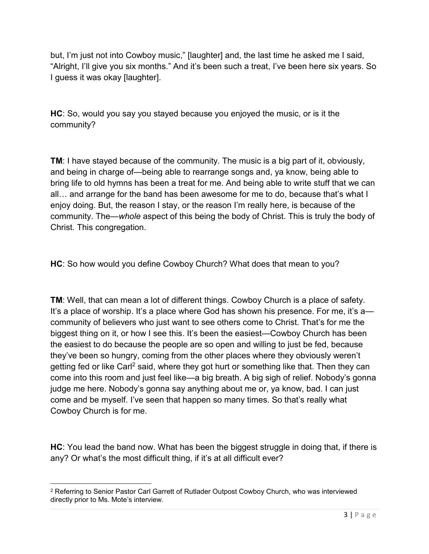but, I'm just not into Cowboy music," [laughter] and, the last time he asked me I said, "Alright, I'll give you six months." And it's been such a treat, I've been here six years. So I guess it was okay [laughter].

**HC**: So, would you say you stayed because you enjoyed the music, or is it the community?

**TM**: I have stayed because of the community. The music is a big part of it, obviously, and being in charge of—being able to rearrange songs and, ya know, being able to bring life to old hymns has been a treat for me. And being able to write stuff that we can all… and arrange for the band has been awesome for me to do, because that's what I enjoy doing. But, the reason I stay, or the reason I'm really here, is because of the community. The—*whole* aspect of this being the body of Christ. This is truly the body of Christ. This congregation.

**HC**: So how would you define Cowboy Church? What does that mean to you?

**TM**: Well, that can mean a lot of different things. Cowboy Church is a place of safety. It's a place of worship. It's a place where God has shown his presence. For me, it's a community of believers who just want to see others come to Christ. That's for me the biggest thing on it, or how I see this. It's been the easiest—Cowboy Church has been the easiest to do because the people are so open and willing to just be fed, because they've been so hungry, coming from the other places where they obviously weren't getting fed or like Carl<sup>2</sup> said, where they got hurt or something like that. Then they can come into this room and just feel like—a big breath. A big sigh of relief. Nobody's gonna judge me here. Nobody's gonna say anything about me or, ya know, bad. I can just come and be myself. I've seen that happen so many times. So that's really what Cowboy Church is for me.

**HC**: You lead the band now. What has been the biggest struggle in doing that, if there is any? Or what's the most difficult thing, if it's at all difficult ever?

 $\overline{\phantom{a}}$ 

<sup>&</sup>lt;sup>2</sup> Referring to Senior Pastor Carl Garrett of Rutlader Outpost Cowboy Church, who was interviewed directly prior to Ms. Mote's interview.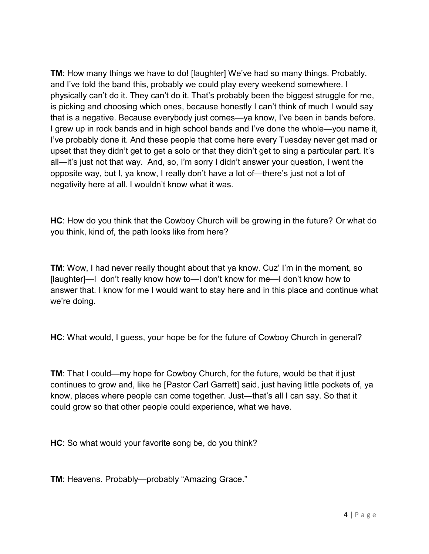**TM**: How many things we have to do! [laughter] We've had so many things. Probably, and I've told the band this, probably we could play every weekend somewhere. I physically can't do it. They can't do it. That's probably been the biggest struggle for me, is picking and choosing which ones, because honestly I can't think of much I would say that is a negative. Because everybody just comes—ya know, I've been in bands before. I grew up in rock bands and in high school bands and I've done the whole—you name it, I've probably done it. And these people that come here every Tuesday never get mad or upset that they didn't get to get a solo or that they didn't get to sing a particular part. It's all—it's just not that way. And, so, I'm sorry I didn't answer your question, I went the opposite way, but I, ya know, I really don't have a lot of—there's just not a lot of negativity here at all. I wouldn't know what it was.

**HC**: How do you think that the Cowboy Church will be growing in the future? Or what do you think, kind of, the path looks like from here?

**TM**: Wow, I had never really thought about that ya know. Cuz' I'm in the moment, so [laughter]—I don't really know how to—I don't know for me—I don't know how to answer that. I know for me I would want to stay here and in this place and continue what we're doing.

**HC**: What would, I guess, your hope be for the future of Cowboy Church in general?

**TM**: That I could—my hope for Cowboy Church, for the future, would be that it just continues to grow and, like he [Pastor Carl Garrett] said, just having little pockets of, ya know, places where people can come together. Just—that's all I can say. So that it could grow so that other people could experience, what we have.

**HC**: So what would your favorite song be, do you think?

**TM**: Heavens. Probably—probably "Amazing Grace."